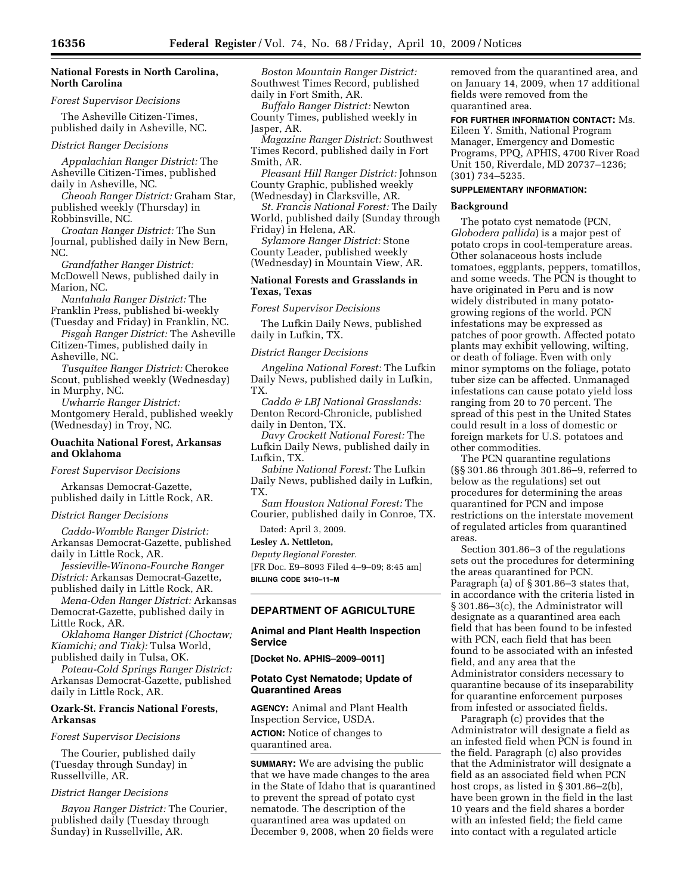# **National Forests in North Carolina, North Carolina**

#### *Forest Supervisor Decisions*

The Asheville Citizen-Times, published daily in Asheville, NC.

### *District Ranger Decisions*

*Appalachian Ranger District:* The Asheville Citizen-Times, published daily in Asheville, NC.

*Cheoah Ranger District:* Graham Star, published weekly (Thursday) in Robbinsville, NC.

*Croatan Ranger District:* The Sun Journal, published daily in New Bern, NC.

*Grandfather Ranger District:*  McDowell News, published daily in Marion, NC.

*Nantahala Ranger District:* The Franklin Press, published bi-weekly (Tuesday and Friday) in Franklin, NC.

*Pisgah Ranger District:* The Asheville Citizen-Times, published daily in Asheville, NC.

*Tusquitee Ranger District:* Cherokee Scout, published weekly (Wednesday) in Murphy, NC.

*Uwharrie Ranger District:*  Montgomery Herald, published weekly (Wednesday) in Troy, NC.

### **Ouachita National Forest, Arkansas and Oklahoma**

### *Forest Supervisor Decisions*

Arkansas Democrat-Gazette, published daily in Little Rock, AR.

### *District Ranger Decisions*

*Caddo-Womble Ranger District:*  Arkansas Democrat-Gazette, published daily in Little Rock, AR.

*Jessieville-Winona-Fourche Ranger District:* Arkansas Democrat-Gazette, published daily in Little Rock, AR.

*Mena-Oden Ranger District:* Arkansas Democrat-Gazette, published daily in Little Rock, AR.

*Oklahoma Ranger District (Choctaw; Kiamichi; and Tiak):* Tulsa World, published daily in Tulsa, OK.

*Poteau-Cold Springs Ranger District:*  Arkansas Democrat-Gazette, published daily in Little Rock, AR.

# **Ozark-St. Francis National Forests, Arkansas**

# *Forest Supervisor Decisions*

The Courier, published daily (Tuesday through Sunday) in Russellville, AR.

### *District Ranger Decisions*

*Bayou Ranger District:* The Courier, published daily (Tuesday through Sunday) in Russellville, AR.

*Boston Mountain Ranger District:*  Southwest Times Record, published daily in Fort Smith, AR.

*Buffalo Ranger District:* Newton County Times, published weekly in Jasper, AR.

*Magazine Ranger District:* Southwest Times Record, published daily in Fort Smith, AR.

*Pleasant Hill Ranger District:* Johnson County Graphic, published weekly (Wednesday) in Clarksville, AR.

*St. Francis National Forest:* The Daily World, published daily (Sunday through Friday) in Helena, AR.

*Sylamore Ranger District:* Stone County Leader, published weekly (Wednesday) in Mountain View, AR.

### **National Forests and Grasslands in Texas, Texas**

*Forest Supervisor Decisions* 

The Lufkin Daily News, published daily in Lufkin, TX.

## *District Ranger Decisions*

*Angelina National Forest:* The Lufkin Daily News, published daily in Lufkin, TX.

*Caddo & LBJ National Grasslands:*  Denton Record-Chronicle, published daily in Denton, TX.

*Davy Crockett National Forest:* The Lufkin Daily News, published daily in Lufkin, TX.

*Sabine National Forest:* The Lufkin Daily News, published daily in Lufkin, TX.

*Sam Houston National Forest:* The Courier, published daily in Conroe, TX.

Dated: April 3, 2009.

### **Lesley A. Nettleton,**

*Deputy Regional Forester.*  [FR Doc. E9–8093 Filed 4–9–09; 8:45 am] **BILLING CODE 3410–11–M** 

# **DEPARTMENT OF AGRICULTURE**

# **Animal and Plant Health Inspection Service**

**[Docket No. APHIS–2009–0011]** 

### **Potato Cyst Nematode; Update of Quarantined Areas**

**AGENCY:** Animal and Plant Health Inspection Service, USDA.

**ACTION:** Notice of changes to quarantined area.

**SUMMARY:** We are advising the public that we have made changes to the area in the State of Idaho that is quarantined to prevent the spread of potato cyst nematode. The description of the quarantined area was updated on December 9, 2008, when 20 fields were

removed from the quarantined area, and on January 14, 2009, when 17 additional fields were removed from the quarantined area.

**FOR FURTHER INFORMATION CONTACT:** Ms. Eileen Y. Smith, National Program Manager, Emergency and Domestic Programs, PPQ, APHIS, 4700 River Road Unit 150, Riverdale, MD 20737–1236; (301) 734–5235.

### **SUPPLEMENTARY INFORMATION:**

### **Background**

The potato cyst nematode (PCN, *Globodera pallida*) is a major pest of potato crops in cool-temperature areas. Other solanaceous hosts include tomatoes, eggplants, peppers, tomatillos, and some weeds. The PCN is thought to have originated in Peru and is now widely distributed in many potatogrowing regions of the world. PCN infestations may be expressed as patches of poor growth. Affected potato plants may exhibit yellowing, wilting, or death of foliage. Even with only minor symptoms on the foliage, potato tuber size can be affected. Unmanaged infestations can cause potato yield loss ranging from 20 to 70 percent. The spread of this pest in the United States could result in a loss of domestic or foreign markets for U.S. potatoes and other commodities.

The PCN quarantine regulations (§§ 301.86 through 301.86–9, referred to below as the regulations) set out procedures for determining the areas quarantined for PCN and impose restrictions on the interstate movement of regulated articles from quarantined areas.

Section 301.86–3 of the regulations sets out the procedures for determining the areas quarantined for PCN. Paragraph (a) of § 301.86–3 states that, in accordance with the criteria listed in § 301.86–3(c), the Administrator will designate as a quarantined area each field that has been found to be infested with PCN, each field that has been found to be associated with an infested field, and any area that the Administrator considers necessary to quarantine because of its inseparability for quarantine enforcement purposes from infested or associated fields.

Paragraph (c) provides that the Administrator will designate a field as an infested field when PCN is found in the field. Paragraph (c) also provides that the Administrator will designate a field as an associated field when PCN host crops, as listed in § 301.86–2(b), have been grown in the field in the last 10 years and the field shares a border with an infested field; the field came into contact with a regulated article